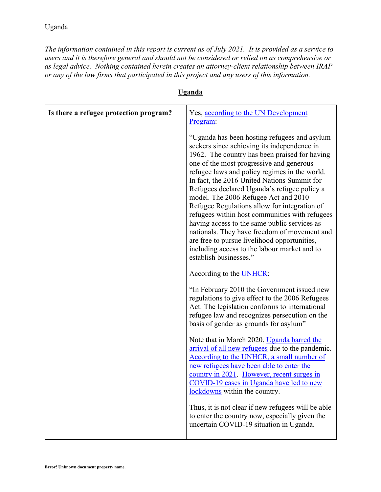*The information contained in this report is current as of July 2021. It is provided as a service to users and it is therefore general and should not be considered or relied on as comprehensive or as legal advice. Nothing contained herein creates an attorney-client relationship between IRAP or any of the law firms that participated in this project and any users of this information.* 

| Is there a refugee protection program? | Yes, according to the UN Development<br>Program:                                                                                                                                                                                                                                                                                                                                                                                                                                                                                                                                                                                                                                                            |
|----------------------------------------|-------------------------------------------------------------------------------------------------------------------------------------------------------------------------------------------------------------------------------------------------------------------------------------------------------------------------------------------------------------------------------------------------------------------------------------------------------------------------------------------------------------------------------------------------------------------------------------------------------------------------------------------------------------------------------------------------------------|
|                                        | "Uganda has been hosting refugees and asylum<br>seekers since achieving its independence in<br>1962. The country has been praised for having<br>one of the most progressive and generous<br>refugee laws and policy regimes in the world.<br>In fact, the 2016 United Nations Summit for<br>Refugees declared Uganda's refugee policy a<br>model. The 2006 Refugee Act and 2010<br>Refugee Regulations allow for integration of<br>refugees within host communities with refugees<br>having access to the same public services as<br>nationals. They have freedom of movement and<br>are free to pursue livelihood opportunities,<br>including access to the labour market and to<br>establish businesses." |
|                                        | According to the <b>UNHCR</b> :                                                                                                                                                                                                                                                                                                                                                                                                                                                                                                                                                                                                                                                                             |
|                                        | "In February 2010 the Government issued new<br>regulations to give effect to the 2006 Refugees<br>Act. The legislation conforms to international<br>refugee law and recognizes persecution on the<br>basis of gender as grounds for asylum"                                                                                                                                                                                                                                                                                                                                                                                                                                                                 |
|                                        | Note that in March 2020, Uganda barred the<br>arrival of all new refugees due to the pandemic.<br>According to the UNHCR, a small number of<br>new refugees have been able to enter the<br><u>country in 2021</u> . However, recent surges in<br>COVID-19 cases in Uganda have led to new<br>lockdowns within the country.                                                                                                                                                                                                                                                                                                                                                                                  |
|                                        | Thus, it is not clear if new refugees will be able<br>to enter the country now, especially given the<br>uncertain COVID-19 situation in Uganda.                                                                                                                                                                                                                                                                                                                                                                                                                                                                                                                                                             |

## **Uganda**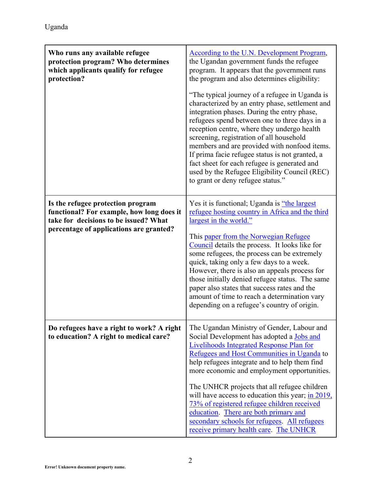| Who runs any available refugee<br>protection program? Who determines<br>which applicants qualify for refugee<br>protection?                                        | <b>According to the U.N. Development Program,</b><br>the Ugandan government funds the refugee<br>program. It appears that the government runs<br>the program and also determines eligibility:<br>"The typical journey of a refugee in Uganda is<br>characterized by an entry phase, settlement and<br>integration phases. During the entry phase,<br>refugees spend between one to three days in a<br>reception centre, where they undergo health<br>screening, registration of all household<br>members and are provided with nonfood items.<br>If prima facie refugee status is not granted, a<br>fact sheet for each refugee is generated and<br>used by the Refugee Eligibility Council (REC)<br>to grant or deny refugee status." |
|--------------------------------------------------------------------------------------------------------------------------------------------------------------------|----------------------------------------------------------------------------------------------------------------------------------------------------------------------------------------------------------------------------------------------------------------------------------------------------------------------------------------------------------------------------------------------------------------------------------------------------------------------------------------------------------------------------------------------------------------------------------------------------------------------------------------------------------------------------------------------------------------------------------------|
| Is the refugee protection program<br>functional? For example, how long does it<br>take for decisions to be issued? What<br>percentage of applications are granted? | Yes it is functional; Uganda is "the largest"<br>refugee hosting country in Africa and the third<br>largest in the world."<br>This paper from the Norwegian Refugee<br>Council details the process. It looks like for<br>some refugees, the process can be extremely<br>quick, taking only a few days to a week.<br>However, there is also an appeals process for<br>those initially denied refugee status. The same<br>paper also states that success rates and the<br>amount of time to reach a determination vary<br>depending on a refugee's country of origin.                                                                                                                                                                    |
| Do refugees have a right to work? A right<br>to education? A right to medical care?                                                                                | The Ugandan Ministry of Gender, Labour and<br>Social Development has adopted a Jobs and<br>Livelihoods Integrated Response Plan for<br>Refugees and Host Communities in Uganda to<br>help refugees integrate and to help them find<br>more economic and employment opportunities.<br>The UNHCR projects that all refugee children<br>will have access to education this year; $\frac{\text{in } 2019}{\text{in } 2019}$ ,<br>73% of registered refugee children received<br>education. There are both primary and<br>secondary schools for refugees. All refugees<br>receive primary health care. The UNHCR                                                                                                                            |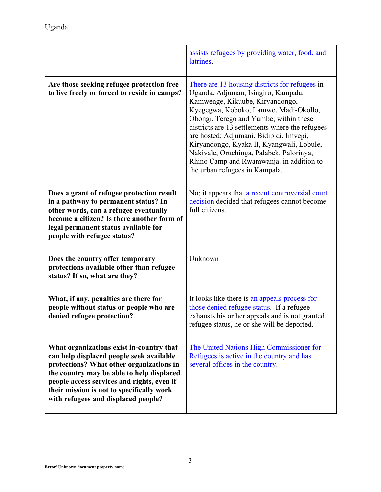|                                                                                                                                                                                                                                                                                                                 | assists refugees by providing water, food, and<br>latrines.                                                                                                                                                                                                                                                                                                                                                                                                                      |
|-----------------------------------------------------------------------------------------------------------------------------------------------------------------------------------------------------------------------------------------------------------------------------------------------------------------|----------------------------------------------------------------------------------------------------------------------------------------------------------------------------------------------------------------------------------------------------------------------------------------------------------------------------------------------------------------------------------------------------------------------------------------------------------------------------------|
| Are those seeking refugee protection free<br>to live freely or forced to reside in camps?                                                                                                                                                                                                                       | There are 13 housing districts for refugees in<br>Uganda: Adjuman, Isingiro, Kampala,<br>Kamwenge, Kikuube, Kiryandongo,<br>Kyegegwa, Koboko, Lamwo, Madi-Okollo,<br>Obongi, Terego and Yumbe; within these<br>districts are 13 settlements where the refugees<br>are hosted: Adjumani, Bidibidi, Imvepi,<br>Kiryandongo, Kyaka II, Kyangwali, Lobule,<br>Nakivale, Oruchinga, Palabek, Palorinya,<br>Rhino Camp and Rwamwanja, in addition to<br>the urban refugees in Kampala. |
| Does a grant of refugee protection result<br>in a pathway to permanent status? In<br>other words, can a refugee eventually<br>become a citizen? Is there another form of<br>legal permanent status available for<br>people with refugee status?                                                                 | No; it appears that a recent controversial court<br>decision decided that refugees cannot become<br>full citizens.                                                                                                                                                                                                                                                                                                                                                               |
| Does the country offer temporary<br>protections available other than refugee<br>status? If so, what are they?                                                                                                                                                                                                   | Unknown                                                                                                                                                                                                                                                                                                                                                                                                                                                                          |
| What, if any, penalties are there for<br>people without status or people who are<br>denied refugee protection?                                                                                                                                                                                                  | It looks like there is an appeals process for<br>those denied refugee status. If a refugee<br>exhausts his or her appeals and is not granted<br>refugee status, he or she will be deported.                                                                                                                                                                                                                                                                                      |
| What organizations exist in-country that<br>can help displaced people seek available<br>protections? What other organizations in<br>the country may be able to help displaced<br>people access services and rights, even if<br>their mission is not to specifically work<br>with refugees and displaced people? | The United Nations High Commissioner for<br>Refugees is active in the country and has<br>several offices in the country.                                                                                                                                                                                                                                                                                                                                                         |